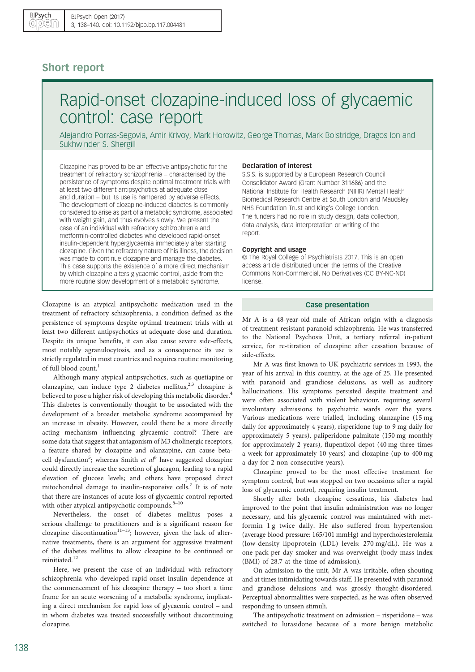# Short report

# Rapid-onset clozapine-induced loss of glycaemic control: case report

Alejandro Porras-Segovia, Amir Krivoy, Mark Horowitz, George Thomas, Mark Bolstridge, Dragos Ion and Sukhwinder S. Shergill

Clozapine has proved to be an effective antipsychotic for the treatment of refractory schizophrenia – characterised by the persistence of symptoms despite optimal treatment trials with at least two different antipsychotics at adequate dose and duration – but its use is hampered by adverse effects. The development of clozapine-induced diabetes is commonly considered to arise as part of a metabolic syndrome, associated with weight gain, and thus evolves slowly. We present the case of an individual with refractory schizophrenia and metformin-controlled diabetes who developed rapid-onset insulin-dependent hyperglycaemia immediately after starting clozapine. Given the refractory nature of his illness, the decision was made to continue clozapine and manage the diabetes. This case supports the existence of a more direct mechanism by which clozapine alters glycaemic control, aside from the more routine slow development of a metabolic syndrome.

Clozapine is an atypical antipsychotic medication used in the treatment of refractory schizophrenia, a condition defined as the persistence of symptoms despite optimal treatment trials with at least two different antipsychotics at adequate dose and duration. Despite its unique benefits, it can also cause severe side-effects, most notably agranulocytosis, and as a consequence its use is strictly regulated in most countries and requires routine monitoring of full blood count.<sup>[1](#page-2-0)</sup>

Although many atypical antipsychotics, such as quetiapine or olanzapine, can induce type 2 diabetes mellitus, $2^{3}$  clozapine is believed to pose a higher risk of developing this metabolic disorder.<sup>[4](#page-2-0)</sup> This diabetes is conventionally thought to be associated with the development of a broader metabolic syndrome accompanied by an increase in obesity. However, could there be a more directly acting mechanism influencing glycaemic control? There are some data that suggest that antagonism of M3 cholinergic receptors, a feature shared by clozapine and olanzapine, can cause beta-cell dysfunction<sup>[5](#page-2-0)</sup>; whereas Smith et  $al^6$  $al^6$  have suggested clozapine could directly increase the secretion of glucagon, leading to a rapid elevation of glucose levels; and others have proposed direct mitochondrial damage to insulin-responsive cells.<sup>[7](#page-2-0)</sup> It is of note that there are instances of acute loss of glycaemic control reported with other atypical antipsychotic compounds.<sup>[8](#page-2-0)-[10](#page-2-0)</sup>

Nevertheless, the onset of diabetes mellitus poses a serious challenge to practitioners and is a significant reason for clozapine discontinuation<sup>[11](#page-2-0)–13</sup>; however, given the lack of alternative treatments, there is an argument for aggressive treatment of the diabetes mellitus to allow clozapine to be continued or reinitiated.<sup>[12](#page-2-0)</sup>

Here, we present the case of an individual with refractory schizophrenia who developed rapid-onset insulin dependence at the commencement of his clozapine therapy – too short a time frame for an acute worsening of a metabolic syndrome, implicating a direct mechanism for rapid loss of glycaemic control – and in whom diabetes was treated successfully without discontinuing clozapine.

# Declaration of interest

S.S.S. is supported by a European Research Council Consolidator Award (Grant Number 311686) and the National Institute for Health Research (NIHR) Mental Health Biomedical Research Centre at South London and Maudsley NHS Foundation Trust and King's College London. The funders had no role in study design, data collection, data analysis, data interpretation or writing of the report.

#### Copyright and usage

© The Royal College of Psychiatrists 2017. This is an open access article distributed under the terms of the Creative Commons Non-Commercial, No Derivatives (CC BY-NC-ND) license.

### Case presentation

Mr A is a 48-year-old male of African origin with a diagnosis of treatment-resistant paranoid schizophrenia. He was transferred to the National Psychosis Unit, a tertiary referral in-patient service, for re-titration of clozapine after cessation because of side-effects.

Mr A was first known to UK psychiatric services in 1993, the year of his arrival in this country, at the age of 25. He presented with paranoid and grandiose delusions, as well as auditory hallucinations. His symptoms persisted despite treatment and were often associated with violent behaviour, requiring several involuntary admissions to psychiatric wards over the years. Various medications were trialled, including olanzapine (15 mg daily for approximately 4 years), risperidone (up to 9 mg daily for approximately 5 years), paliperidone palmitate (150 mg monthly for approximately 2 years), flupentixol depot (40 mg three times a week for approximately 10 years) and clozapine (up to 400 mg a day for 2 non-consecutive years).

Clozapine proved to be the most effective treatment for symptom control, but was stopped on two occasions after a rapid loss of glycaemic control, requiring insulin treatment.

Shortly after both clozapine cessations, his diabetes had improved to the point that insulin administration was no longer necessary, and his glycaemic control was maintained with met‐ formin 1 g twice daily. He also suffered from hypertension (average blood pressure: 165/101 mmHg) and hypercholesterolemia (low-density lipoprotein (LDL) levels: 270 mg/dL). He was a one-pack-per-day smoker and was overweight (body mass index (BMI) of 28.7 at the time of admission).

On admission to the unit, Mr A was irritable, often shouting and at times intimidating towards staff. He presented with paranoid and grandiose delusions and was grossly thought-disordered. Perceptual abnormalities were suspected, as he was often observed responding to unseen stimuli.

The antipsychotic treatment on admission – risperidone – was switched to lurasidone because of a more benign metabolic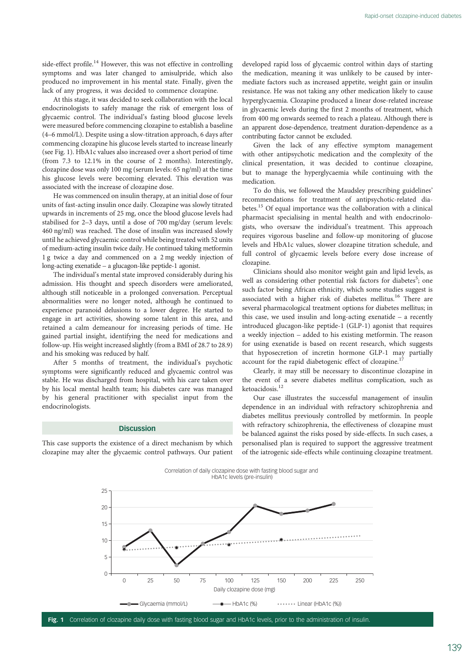side-effect profile.<sup>[14](#page-2-0)</sup> However, this was not effective in controlling symptoms and was later changed to amisulpride, which also produced no improvement in his mental state. Finally, given the lack of any progress, it was decided to commence clozapine.

At this stage, it was decided to seek collaboration with the local endocrinologists to safely manage the risk of emergent loss of glycaemic control. The individual's fasting blood glucose levels were measured before commencing clozapine to establish a baseline (4–6 mmol/L). Despite using a slow-titration approach, 6 days after commencing clozapine his glucose levels started to increase linearly (see Fig. 1). HbA1c values also increased over a short period of time (from 7.3 to 12.1% in the course of 2 months). Interestingly, clozapine dose was only 100 mg (serum levels: 65 ng/ml) at the time his glucose levels were becoming elevated. This elevation was associated with the increase of clozapine dose.

He was commenced on insulin therapy, at an initial dose of four units of fast-acting insulin once daily. Clozapine was slowly titrated upwards in increments of 25 mg, once the blood glucose levels had stabilised for 2–3 days, until a dose of 700 mg/day (serum levels: 460 ng/ml) was reached. The dose of insulin was increased slowly until he achieved glycaemic control while being treated with 52 units of medium-acting insulin twice daily. He continued taking metformin 1 g twice a day and commenced on a 2 mg weekly injection of long-acting exenatide – a glucagon-like peptide-1 agonist.

The individual's mental state improved considerably during his admission. His thought and speech disorders were ameliorated, although still noticeable in a prolonged conversation. Perceptual abnormalities were no longer noted, although he continued to experience paranoid delusions to a lower degree. He started to engage in art activities, showing some talent in this area, and retained a calm demeanour for increasing periods of time. He gained partial insight, identifying the need for medications and follow-up. His weight increased slightly (from a BMI of 28.7 to 28.9) and his smoking was reduced by half.

After 5 months of treatment, the individual's psychotic symptoms were significantly reduced and glycaemic control was stable. He was discharged from hospital, with his care taken over by his local mental health team; his diabetes care was managed by his general practitioner with specialist input from the endocrinologists.

# **Discussion**

This case supports the existence of a direct mechanism by which clozapine may alter the glycaemic control pathways. Our patient developed rapid loss of glycaemic control within days of starting the medication, meaning it was unlikely to be caused by intermediate factors such as increased appetite, weight gain or insulin resistance. He was not taking any other medication likely to cause hyperglycaemia. Clozapine produced a linear dose-related increase in glycaemic levels during the first 2 months of treatment, which from 400 mg onwards seemed to reach a plateau. Although there is an apparent dose-dependence, treatment duration-dependence as a contributing factor cannot be excluded.

Given the lack of any effective symptom management with other antipsychotic medication and the complexity of the clinical presentation, it was decided to continue clozapine, but to manage the hyperglycaemia while continuing with the medication.

To do this, we followed the Maudsley prescribing guidelines' recommendations for treatment of antipsychotic-related dia-betes.<sup>[15](#page-2-0)</sup> Of equal importance was the collaboration with a clinical pharmacist specialising in mental health and with endocrinologists, who oversaw the individual's treatment. This approach requires vigorous baseline and follow-up monitoring of glucose levels and HbA1c values, slower clozapine titration schedule, and full control of glycaemic levels before every dose increase of clozapine.

Clinicians should also monitor weight gain and lipid levels, as well as considering other potential risk factors for diabetes<sup>[5](#page-2-0)</sup>; one such factor being African ethnicity, which some studies suggest is associated with a higher risk of diabetes mellitus.[16](#page-2-0) There are several pharmacological treatment options for diabetes mellitus; in this case, we used insulin and long-acting exenatide – a recently introduced glucagon-like peptide-1 (GLP-1) agonist that requires a weekly injection – added to his existing metformin. The reason for using exenatide is based on recent research, which suggests that hyposecretion of incretin hormone GLP-1 may partially account for the rapid diabetogenic effect of clozapine.<sup>[17](#page-2-0)</sup>

Clearly, it may still be necessary to discontinue clozapine in the event of a severe diabetes mellitus complication, such as ketoacidosis.<sup>[12](#page-2-0)</sup>

Our case illustrates the successful management of insulin dependence in an individual with refractory schizophrenia and diabetes mellitus previously controlled by metformin. In people with refractory schizophrenia, the effectiveness of clozapine must be balanced against the risks posed by side-effects. In such cases, a personalised plan is required to support the aggressive treatment of the iatrogenic side-effects while continuing clozapine treatment.



Fig. 1 Correlation of clozapine daily dose with fasting blood sugar and HbA1c levels, prior to the administration of insulin.